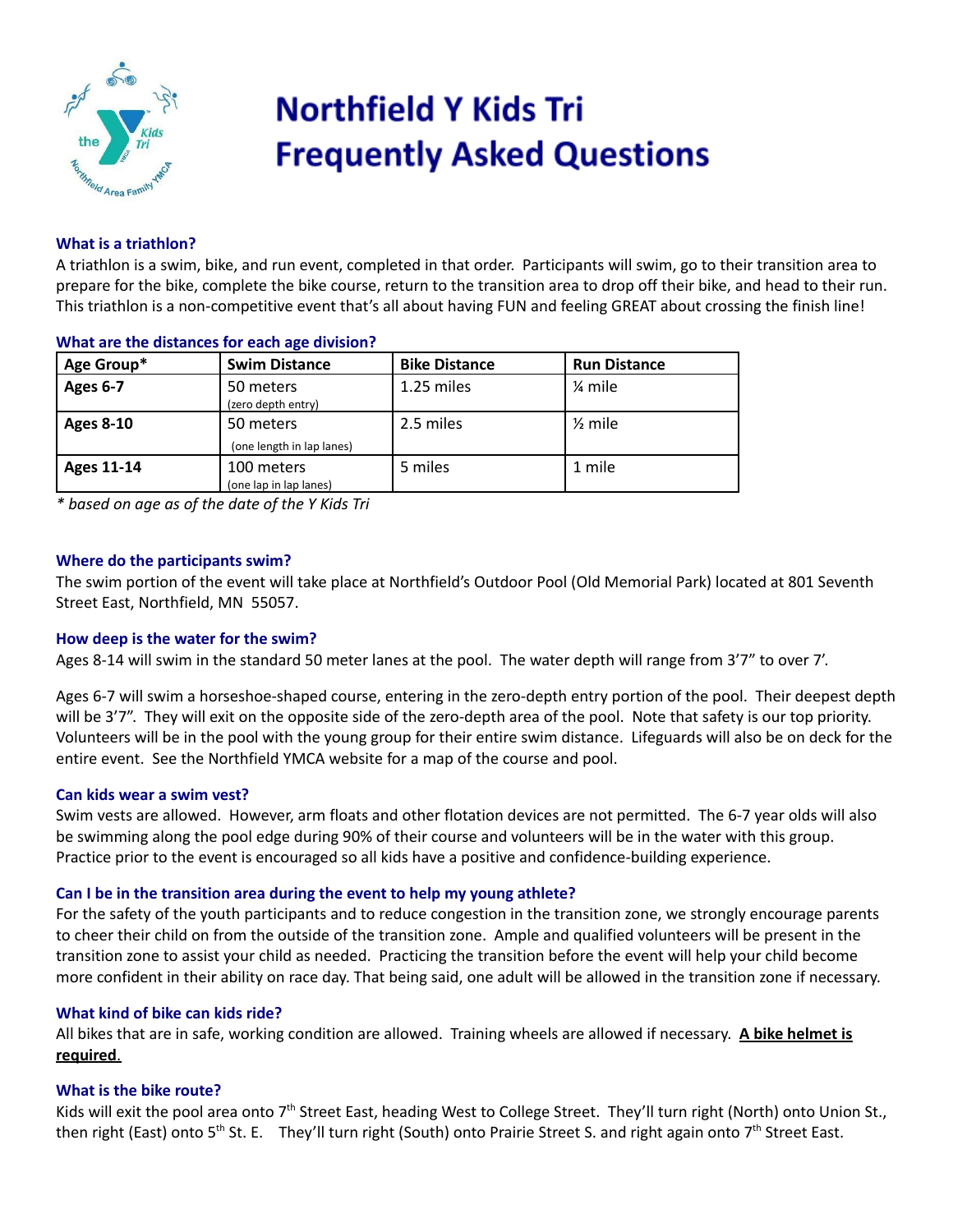

# **Northfield Y Kids Tri Frequently Asked Questions**

# **What is a triathlon?**

A triathlon is a swim, bike, and run event, completed in that order. Participants will swim, go to their transition area to prepare for the bike, complete the bike course, return to the transition area to drop off their bike, and head to their run. This triathlon is a non-competitive event that's all about having FUN and feeling GREAT about crossing the finish line!

## **What are the distances for each age division?**

| Age Group*       | <b>Swim Distance</b>                 | <b>Bike Distance</b> | <b>Run Distance</b> |
|------------------|--------------------------------------|----------------------|---------------------|
| <b>Ages 6-7</b>  | 50 meters<br>(zero depth entry)      | 1.25 miles           | $\frac{1}{4}$ mile  |
| <b>Ages 8-10</b> | 50 meters                            | 2.5 miles            | $\frac{1}{2}$ mile  |
|                  | (one length in lap lanes)            |                      |                     |
| Ages 11-14       | 100 meters<br>(one lap in lap lanes) | 5 miles              | 1 mile              |

*\* based on age as of the date of the Y Kids Tri*

## **Where do the participants swim?**

The swim portion of the event will take place at Northfield's Outdoor Pool (Old Memorial Park) located at 801 Seventh Street East, Northfield, MN 55057.

# **How deep is the water for the swim?**

Ages 8-14 will swim in the standard 50 meter lanes at the pool. The water depth will range from 3'7" to over 7'.

Ages 6-7 will swim a horseshoe-shaped course, entering in the zero-depth entry portion of the pool. Their deepest depth will be 3'7". They will exit on the opposite side of the zero-depth area of the pool. Note that safety is our top priority. Volunteers will be in the pool with the young group for their entire swim distance. Lifeguards will also be on deck for the entire event. See the Northfield YMCA website for a map of the course and pool.

#### **Can kids wear a swim vest?**

Swim vests are allowed. However, arm floats and other flotation devices are not permitted. The 6-7 year olds will also be swimming along the pool edge during 90% of their course and volunteers will be in the water with this group. Practice prior to the event is encouraged so all kids have a positive and confidence-building experience.

#### **Can I be in the transition area during the event to help my young athlete?**

For the safety of the youth participants and to reduce congestion in the transition zone, we strongly encourage parents to cheer their child on from the outside of the transition zone. Ample and qualified volunteers will be present in the transition zone to assist your child as needed. Practicing the transition before the event will help your child become more confident in their ability on race day. That being said, one adult will be allowed in the transition zone if necessary.

# **What kind of bike can kids ride?**

All bikes that are in safe, working condition are allowed. Training wheels are allowed if necessary. **A bike helmet is required**.

# **What is the bike route?**

Kids will exit the pool area onto 7<sup>th</sup> Street East, heading West to College Street. They'll turn right (North) onto Union St., then right (East) onto 5<sup>th</sup> St. E. They'll turn right (South) onto Prairie Street S. and right again onto 7<sup>th</sup> Street East.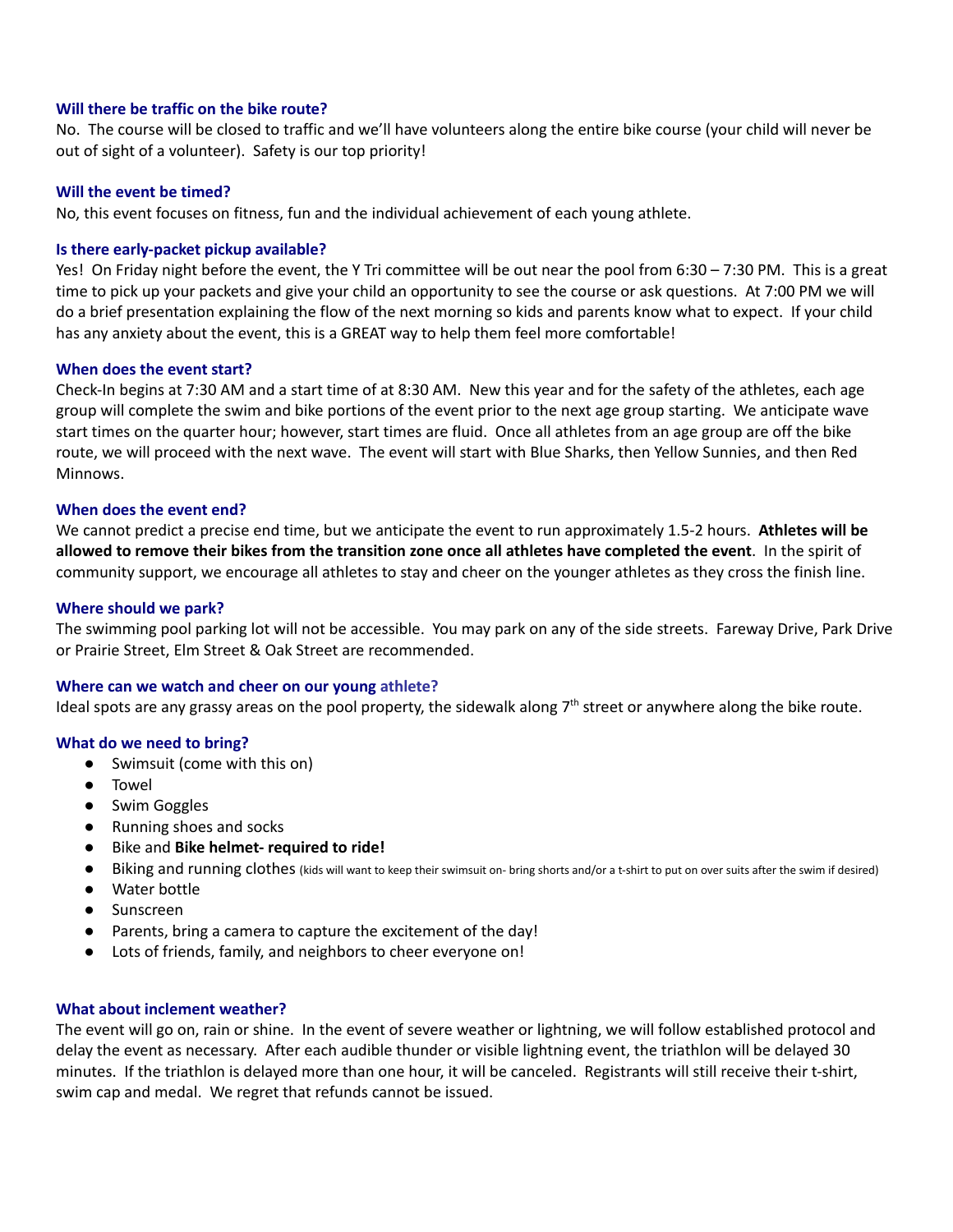## **Will there be traffic on the bike route?**

No. The course will be closed to traffic and we'll have volunteers along the entire bike course (your child will never be out of sight of a volunteer). Safety is our top priority!

## **Will the event be timed?**

No, this event focuses on fitness, fun and the individual achievement of each young athlete.

## **Is there early-packet pickup available?**

Yes! On Friday night before the event, the Y Tri committee will be out near the pool from 6:30 – 7:30 PM. This is a great time to pick up your packets and give your child an opportunity to see the course or ask questions. At 7:00 PM we will do a brief presentation explaining the flow of the next morning so kids and parents know what to expect. If your child has any anxiety about the event, this is a GREAT way to help them feel more comfortable!

#### **When does the event start?**

Check-In begins at 7:30 AM and a start time of at 8:30 AM. New this year and for the safety of the athletes, each age group will complete the swim and bike portions of the event prior to the next age group starting. We anticipate wave start times on the quarter hour; however, start times are fluid. Once all athletes from an age group are off the bike route, we will proceed with the next wave. The event will start with Blue Sharks, then Yellow Sunnies, and then Red Minnows.

#### **When does the event end?**

We cannot predict a precise end time, but we anticipate the event to run approximately 1.5-2 hours. **Athletes will be** allowed to remove their bikes from the transition zone once all athletes have completed the event. In the spirit of community support, we encourage all athletes to stay and cheer on the younger athletes as they cross the finish line.

## **Where should we park?**

The swimming pool parking lot will not be accessible. You may park on any of the side streets. Fareway Drive, Park Drive or Prairie Street, Elm Street & Oak Street are recommended.

#### **Where can we watch and cheer on our young athlete?**

Ideal spots are any grassy areas on the pool property, the sidewalk along  $7<sup>th</sup>$  street or anywhere along the bike route.

#### **What do we need to bring?**

- Swimsuit (come with this on)
- **Towel**
- Swim Goggles
- Running shoes and socks
- Bike and **Bike helmet- required to ride!**
- Biking and running clothes (kids will want to keep their swimsuit on- bring shorts and/or <sup>a</sup> t-shirt to put on over suits after the swim if desired)
- Water bottle
- Sunscreen
- Parents, bring a camera to capture the excitement of the day!
- Lots of friends, family, and neighbors to cheer everyone on!

#### **What about inclement weather?**

The event will go on, rain or shine. In the event of severe weather or lightning, we will follow established protocol and delay the event as necessary. After each audible thunder or visible lightning event, the triathlon will be delayed 30 minutes. If the triathlon is delayed more than one hour, it will be canceled. Registrants will still receive their t-shirt, swim cap and medal. We regret that refunds cannot be issued.